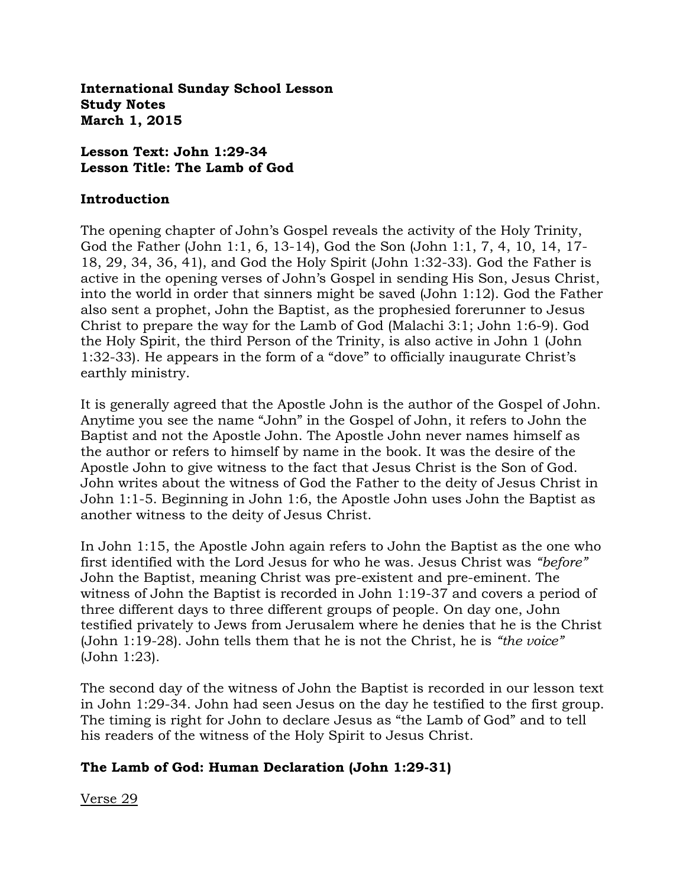**International Sunday School Lesson Study Notes March 1, 2015**

### **Lesson Text: John 1:29-34 Lesson Title: The Lamb of God**

#### **Introduction**

The opening chapter of John's Gospel reveals the activity of the Holy Trinity, God the Father (John 1:1, 6, 13-14), God the Son (John 1:1, 7, 4, 10, 14, 17- 18, 29, 34, 36, 41), and God the Holy Spirit (John 1:32-33). God the Father is active in the opening verses of John's Gospel in sending His Son, Jesus Christ, into the world in order that sinners might be saved (John 1:12). God the Father also sent a prophet, John the Baptist, as the prophesied forerunner to Jesus Christ to prepare the way for the Lamb of God (Malachi 3:1; John 1:6-9). God the Holy Spirit, the third Person of the Trinity, is also active in John 1 (John 1:32-33). He appears in the form of a "dove" to officially inaugurate Christ's earthly ministry.

It is generally agreed that the Apostle John is the author of the Gospel of John. Anytime you see the name "John" in the Gospel of John, it refers to John the Baptist and not the Apostle John. The Apostle John never names himself as the author or refers to himself by name in the book. It was the desire of the Apostle John to give witness to the fact that Jesus Christ is the Son of God. John writes about the witness of God the Father to the deity of Jesus Christ in John 1:1-5. Beginning in John 1:6, the Apostle John uses John the Baptist as another witness to the deity of Jesus Christ.

In John 1:15, the Apostle John again refers to John the Baptist as the one who first identified with the Lord Jesus for who he was. Jesus Christ was *"before"* John the Baptist, meaning Christ was pre-existent and pre-eminent. The witness of John the Baptist is recorded in John 1:19-37 and covers a period of three different days to three different groups of people. On day one, John testified privately to Jews from Jerusalem where he denies that he is the Christ (John 1:19-28). John tells them that he is not the Christ, he is *"the voice"*  (John 1:23).

The second day of the witness of John the Baptist is recorded in our lesson text in John 1:29-34. John had seen Jesus on the day he testified to the first group. The timing is right for John to declare Jesus as "the Lamb of God" and to tell his readers of the witness of the Holy Spirit to Jesus Christ.

## **The Lamb of God: Human Declaration (John 1:29-31)**

Verse 29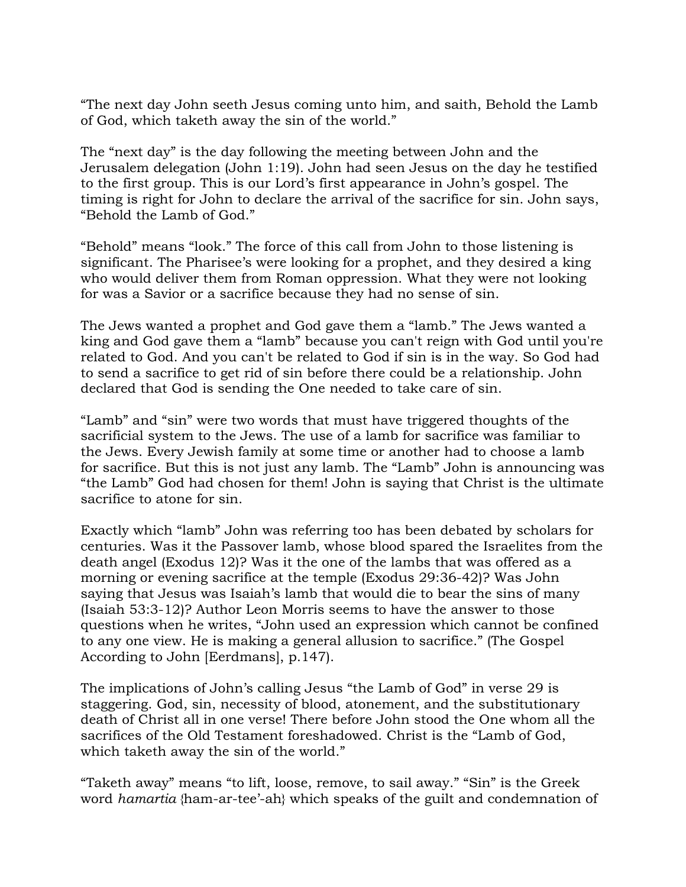"The next day John seeth Jesus coming unto him, and saith, Behold the Lamb of God, which taketh away the sin of the world."

The "next day" is the day following the meeting between John and the Jerusalem delegation (John 1:19). John had seen Jesus on the day he testified to the first group. This is our Lord's first appearance in John's gospel. The timing is right for John to declare the arrival of the sacrifice for sin. John says, "Behold the Lamb of God."

"Behold" means "look." The force of this call from John to those listening is significant. The Pharisee's were looking for a prophet, and they desired a king who would deliver them from Roman oppression. What they were not looking for was a Savior or a sacrifice because they had no sense of sin.

The Jews wanted a prophet and God gave them a "lamb." The Jews wanted a king and God gave them a "lamb" because you can't reign with God until you're related to God. And you can't be related to God if sin is in the way. So God had to send a sacrifice to get rid of sin before there could be a relationship. John declared that God is sending the One needed to take care of sin.

"Lamb" and "sin" were two words that must have triggered thoughts of the sacrificial system to the Jews. The use of a lamb for sacrifice was familiar to the Jews. Every Jewish family at some time or another had to choose a lamb for sacrifice. But this is not just any lamb. The "Lamb" John is announcing was "the Lamb" God had chosen for them! John is saying that Christ is the ultimate sacrifice to atone for sin.

Exactly which "lamb" John was referring too has been debated by scholars for centuries. Was it the Passover lamb, whose blood spared the Israelites from the death angel (Exodus 12)? Was it the one of the lambs that was offered as a morning or evening sacrifice at the temple (Exodus 29:36-42)? Was John saying that Jesus was Isaiah's lamb that would die to bear the sins of many (Isaiah 53:3-12)? Author Leon Morris seems to have the answer to those questions when he writes, "John used an expression which cannot be confined to any one view. He is making a general allusion to sacrifice." (The Gospel According to John [Eerdmans], p.147).

The implications of John's calling Jesus "the Lamb of God" in verse 29 is staggering. God, sin, necessity of blood, atonement, and the substitutionary death of Christ all in one verse! There before John stood the One whom all the sacrifices of the Old Testament foreshadowed. Christ is the "Lamb of God, which taketh away the sin of the world."

"Taketh away" means "to lift, loose, remove, to sail away." "Sin" is the Greek word *hamartia* {ham-ar-tee'-ah} which speaks of the guilt and condemnation of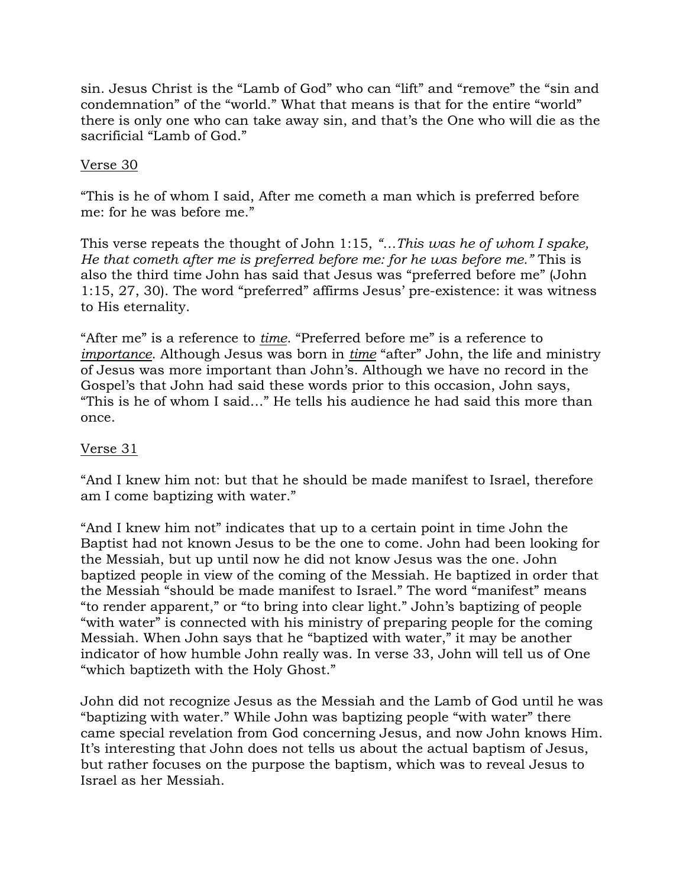sin. Jesus Christ is the "Lamb of God" who can "lift" and "remove" the "sin and condemnation" of the "world." What that means is that for the entire "world" there is only one who can take away sin, and that's the One who will die as the sacrificial "Lamb of God."

## Verse 30

"This is he of whom I said, After me cometh a man which is preferred before me: for he was before me."

This verse repeats the thought of John 1:15, *"…This was he of whom I spake, He that cometh after me is preferred before me: for he was before me."* This is also the third time John has said that Jesus was "preferred before me" (John 1:15, 27, 30). The word "preferred" affirms Jesus' pre-existence: it was witness to His eternality.

"After me" is a reference to *time*. "Preferred before me" is a reference to *importance*. Although Jesus was born in *time* "after" John, the life and ministry of Jesus was more important than John's. Although we have no record in the Gospel's that John had said these words prior to this occasion, John says, "This is he of whom I said…" He tells his audience he had said this more than once.

### Verse 31

"And I knew him not: but that he should be made manifest to Israel, therefore am I come baptizing with water."

"And I knew him not" indicates that up to a certain point in time John the Baptist had not known Jesus to be the one to come. John had been looking for the Messiah, but up until now he did not know Jesus was the one. John baptized people in view of the coming of the Messiah. He baptized in order that the Messiah "should be made manifest to Israel." The word "manifest" means "to render apparent," or "to bring into clear light." John's baptizing of people "with water" is connected with his ministry of preparing people for the coming Messiah. When John says that he "baptized with water," it may be another indicator of how humble John really was. In verse 33, John will tell us of One "which baptizeth with the Holy Ghost."

John did not recognize Jesus as the Messiah and the Lamb of God until he was "baptizing with water." While John was baptizing people "with water" there came special revelation from God concerning Jesus, and now John knows Him. It's interesting that John does not tells us about the actual baptism of Jesus, but rather focuses on the purpose the baptism, which was to reveal Jesus to Israel as her Messiah.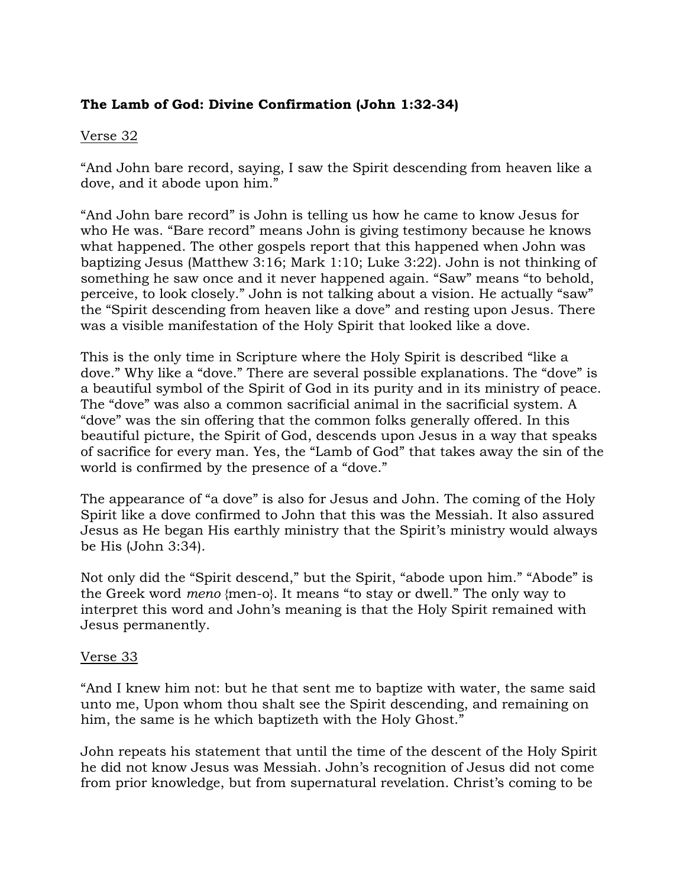# **The Lamb of God: Divine Confirmation (John 1:32-34)**

### Verse 32

"And John bare record, saying, I saw the Spirit descending from heaven like a dove, and it abode upon him."

"And John bare record" is John is telling us how he came to know Jesus for who He was. "Bare record" means John is giving testimony because he knows what happened. The other gospels report that this happened when John was baptizing Jesus (Matthew 3:16; Mark 1:10; Luke 3:22). John is not thinking of something he saw once and it never happened again. "Saw" means "to behold, perceive, to look closely." John is not talking about a vision. He actually "saw" the "Spirit descending from heaven like a dove" and resting upon Jesus. There was a visible manifestation of the Holy Spirit that looked like a dove.

This is the only time in Scripture where the Holy Spirit is described "like a dove." Why like a "dove." There are several possible explanations. The "dove" is a beautiful symbol of the Spirit of God in its purity and in its ministry of peace. The "dove" was also a common sacrificial animal in the sacrificial system. A "dove" was the sin offering that the common folks generally offered. In this beautiful picture, the Spirit of God, descends upon Jesus in a way that speaks of sacrifice for every man. Yes, the "Lamb of God" that takes away the sin of the world is confirmed by the presence of a "dove."

The appearance of "a dove" is also for Jesus and John. The coming of the Holy Spirit like a dove confirmed to John that this was the Messiah. It also assured Jesus as He began His earthly ministry that the Spirit's ministry would always be His (John 3:34).

Not only did the "Spirit descend," but the Spirit, "abode upon him." "Abode" is the Greek word *meno* {men-o}. It means "to stay or dwell." The only way to interpret this word and John's meaning is that the Holy Spirit remained with Jesus permanently.

### Verse 33

"And I knew him not: but he that sent me to baptize with water, the same said unto me, Upon whom thou shalt see the Spirit descending, and remaining on him, the same is he which baptizeth with the Holy Ghost."

John repeats his statement that until the time of the descent of the Holy Spirit he did not know Jesus was Messiah. John's recognition of Jesus did not come from prior knowledge, but from supernatural revelation. Christ's coming to be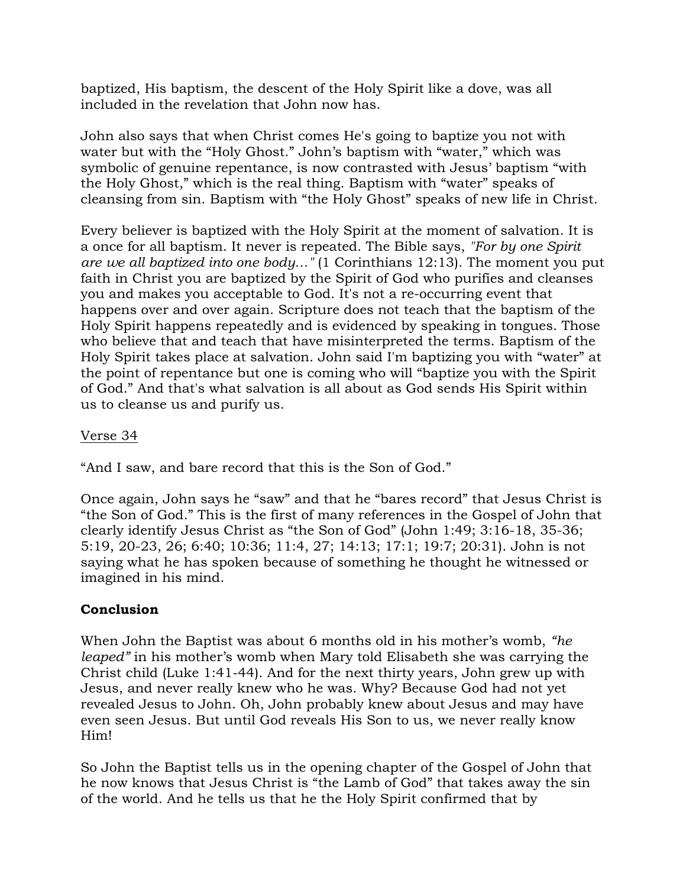baptized, His baptism, the descent of the Holy Spirit like a dove, was all included in the revelation that John now has.

John also says that when Christ comes He's going to baptize you not with water but with the "Holy Ghost." John's baptism with "water," which was symbolic of genuine repentance, is now contrasted with Jesus' baptism "with the Holy Ghost," which is the real thing. Baptism with "water" speaks of cleansing from sin. Baptism with "the Holy Ghost" speaks of new life in Christ.

Every believer is baptized with the Holy Spirit at the moment of salvation. It is a once for all baptism. It never is repeated. The Bible says, *"For by one Spirit are we all baptized into one body…"* (1 Corinthians 12:13). The moment you put faith in Christ you are baptized by the Spirit of God who purifies and cleanses you and makes you acceptable to God. It's not a re-occurring event that happens over and over again. Scripture does not teach that the baptism of the Holy Spirit happens repeatedly and is evidenced by speaking in tongues. Those who believe that and teach that have misinterpreted the terms. Baptism of the Holy Spirit takes place at salvation. John said I'm baptizing you with "water" at the point of repentance but one is coming who will "baptize you with the Spirit of God." And that's what salvation is all about as God sends His Spirit within us to cleanse us and purify us.

## Verse 34

"And I saw, and bare record that this is the Son of God."

Once again, John says he "saw" and that he "bares record" that Jesus Christ is "the Son of God." This is the first of many references in the Gospel of John that clearly identify Jesus Christ as "the Son of God" (John 1:49; 3:16-18, 35-36; 5:19, 20-23, 26; 6:40; 10:36; 11:4, 27; 14:13; 17:1; 19:7; 20:31). John is not saying what he has spoken because of something he thought he witnessed or imagined in his mind.

## **Conclusion**

When John the Baptist was about 6 months old in his mother's womb, *"he leaped"* in his mother's womb when Mary told Elisabeth she was carrying the Christ child (Luke 1:41-44). And for the next thirty years, John grew up with Jesus, and never really knew who he was. Why? Because God had not yet revealed Jesus to John. Oh, John probably knew about Jesus and may have even seen Jesus. But until God reveals His Son to us, we never really know Him!

So John the Baptist tells us in the opening chapter of the Gospel of John that he now knows that Jesus Christ is "the Lamb of God" that takes away the sin of the world. And he tells us that he the Holy Spirit confirmed that by